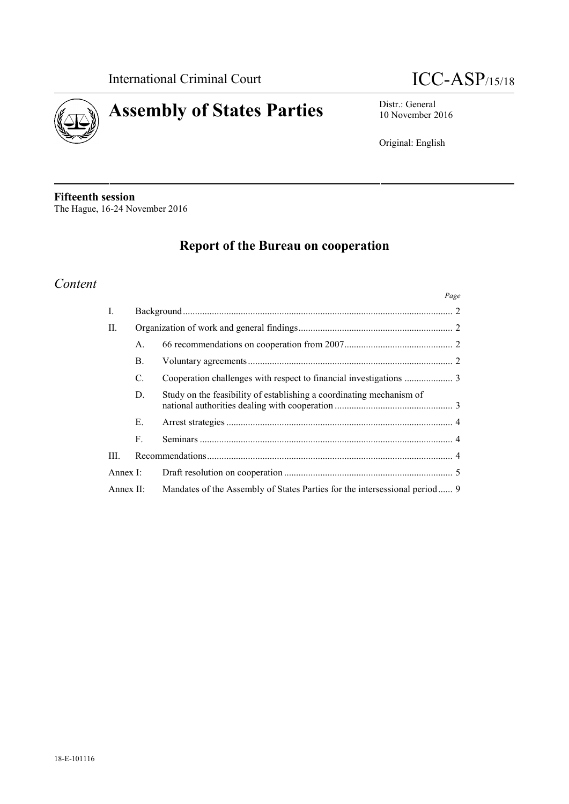



10 November 2016

Original: English

**Fifteenth session** The Hague, 16-24 November 2016

# **Report of the Bureau on cooperation**

# *Content*

|                |                |                                                                            | Page |
|----------------|----------------|----------------------------------------------------------------------------|------|
| $\mathbf{I}$ . |                |                                                                            |      |
| II.            |                |                                                                            |      |
|                | $\mathsf{A}$ . |                                                                            |      |
|                | <b>B.</b>      |                                                                            |      |
|                | C.             |                                                                            |      |
|                | D.             | Study on the feasibility of establishing a coordinating mechanism of       |      |
|                | Е.             |                                                                            |      |
|                | F.             |                                                                            |      |
| III.           |                |                                                                            |      |
| Annex I:       |                |                                                                            |      |
| Annex $\Pi$ :  |                | Mandates of the Assembly of States Parties for the intersessional period 9 |      |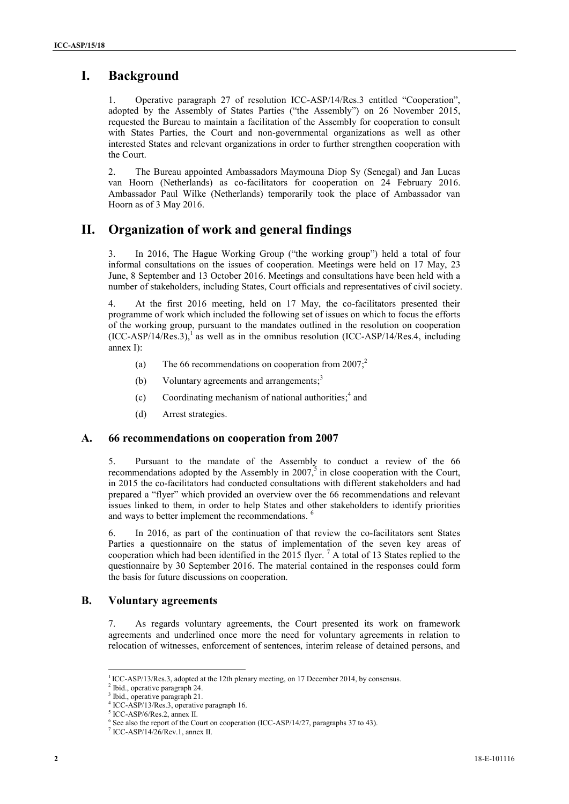# **I. Background**

1. Operative paragraph 27 of resolution ICC-ASP/14/Res.3 entitled "Cooperation", adopted by the Assembly of States Parties ("the Assembly") on 26 November 2015, requested the Bureau to maintain a facilitation of the Assembly for cooperation to consult with States Parties, the Court and non-governmental organizations as well as other interested States and relevant organizations in order to further strengthen cooperation with the Court.

2. The Bureau appointed Ambassadors Maymouna Diop Sy (Senegal) and Jan Lucas van Hoorn (Netherlands) as co-facilitators for cooperation on 24 February 2016. Ambassador Paul Wilke (Netherlands) temporarily took the place of Ambassador van Hoorn as of 3 May 2016.

# **II. Organization of work and general findings**

3. In 2016, The Hague Working Group ("the working group") held a total of four informal consultations on the issues of cooperation. Meetings were held on 17 May, 23 June, 8 September and 13 October 2016. Meetings and consultations have been held with a number of stakeholders, including States, Court officials and representatives of civil society.

4. At the first 2016 meeting, held on 17 May, the co-facilitators presented their programme of work which included the following set of issues on which to focus the efforts of the working group, pursuant to the mandates outlined in the resolution on cooperation  $(ICC-ASP/14/Res.3)$ ,<sup>1</sup> as well as in the omnibus resolution  $(ICC-ASP/14/Res.4, including$ annex I):

- (a) The 66 recommendations on cooperation from  $2007$ ;<sup>2</sup>
- (b) Voluntary agreements and arrangements; $3$
- (c) Coordinating mechanism of national authorities; $<sup>4</sup>$  and</sup>
- (d) Arrest strategies.

### **A. 66 recommendations on cooperation from 2007**

5. Pursuant to the mandate of the Assembly to conduct a review of the 66 recommendations adopted by the Assembly in  $2007$ <sup>5</sup> in close cooperation with the Court, in 2015 the co-facilitators had conducted consultations with different stakeholders and had prepared a "flyer" which provided an overview over the 66 recommendations and relevant issues linked to them, in order to help States and other stakeholders to identify priorities and ways to better implement the recommendations. <sup>6</sup>

6. In 2016, as part of the continuation of that review the co-facilitators sent States Parties a questionnaire on the status of implementation of the seven key areas of cooperation which had been identified in the 2015 flyer.  $^7$  A total of 13 States replied to the questionnaire by 30 September 2016. The material contained in the responses could form the basis for future discussions on cooperation.

### **B. Voluntary agreements**

7. As regards voluntary agreements, the Court presented its work on framework agreements and underlined once more the need for voluntary agreements in relation to relocation of witnesses, enforcement of sentences, interim release of detained persons, and

<sup>&</sup>lt;sup>1</sup> ICC-ASP/13/Res.3, adopted at the 12th plenary meeting, on 17 December 2014, by consensus.

<sup>&</sup>lt;sup>2</sup> Ibid., operative paragraph 24.<br> $\frac{3}{1}$  Ibid., operative paragraph 21.

<sup>&</sup>lt;sup>4</sup> ICC-ASP/13/Res.3, operative paragraph 16.

<sup>&</sup>lt;sup>5</sup> ICC-ASP/6/Res.2, annex II.

<sup>&</sup>lt;sup>6</sup> See also the report of the Court on cooperation (ICC-ASP/14/27, paragraphs 37 to 43). <sup>7</sup> ICC-ASP/14/26/Rev.1, annex II.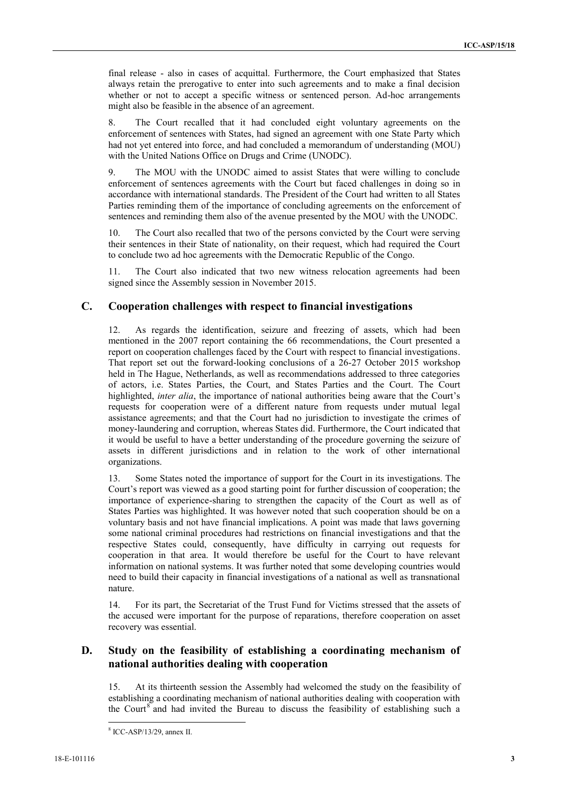final release -also in cases of acquittal. Furthermore, the Court emphasized that States always retain the prerogative to enter into such agreements and to make a final decision whether or not to accept a specific witness or sentenced person. Ad-hoc arrangements might also be feasible in the absence of an agreement.

8. The Court recalled that it had concluded eight voluntary agreements on the enforcement of sentences with States, had signed an agreement with one State Party which had not yet entered into force, and had concluded a memorandum of understanding (MOU) with the United Nations Office on Drugs and Crime (UNODC).

9. The MOU with the UNODC aimed to assist States that were willing to conclude enforcement of sentences agreements with the Court but faced challenges in doing so in accordance with international standards. The President of the Court had written to all States Parties reminding them of the importance of concluding agreements on the enforcement of sentences and reminding them also of the avenue presented by the MOU with the UNODC.

The Court also recalled that two of the persons convicted by the Court were serving their sentences in their State of nationality, on their request, which had required the Court to conclude two ad hoc agreements with the Democratic Republic of the Congo.

11. The Court also indicated that two new witness relocation agreements had been signed since the Assembly session in November 2015.

### **C. Cooperation challenges with respect to financial investigations**

12. As regards the identification, seizure and freezing of assets, which had been mentioned in the 2007 report containing the 66 recommendations, the Court presented a report on cooperation challenges faced by the Court with respect to financial investigations. That report set out the forward-looking conclusions of a 26-27 October 2015 workshop held in The Hague, Netherlands, as well as recommendations addressed to three categories of actors, i.e. States Parties, the Court, and States Parties and the Court. The Court highlighted, *inter alia*, the importance of national authorities being aware that the Court's requests for cooperation were of a different nature from requests under mutual legal assistance agreements; and that the Court had no jurisdiction to investigate the crimes of money-laundering and corruption, whereas States did. Furthermore, the Court indicated that it would be useful to have a better understanding of the procedure governing the seizure of assets in different jurisdictions and in relation to the work of other international organizations.

13. Some States noted the importance of support for the Court in its investigations. The Court's report was viewed as a good starting point for further discussion of cooperation; the importance of experience-sharing to strengthen the capacity of the Court as well as of States Parties was highlighted. It was however noted that such cooperation should be on a voluntary basis and not have financial implications. A point was made that laws governing some national criminal procedures had restrictions on financial investigations and that the respective States could, consequently, have difficulty in carrying out requests for cooperation in that area. It would therefore be useful for the Court to have relevant information on national systems. It was further noted that some developing countries would need to build their capacity in financial investigations of a national as well as transnational nature.

14. For its part, the Secretariat of the Trust Fund for Victims stressed that the assets of the accused were important for the purpose of reparations, therefore cooperation on asset recovery was essential.

### **D. Study on the feasibility of establishing a coordinating mechanism of national authorities dealing with cooperation**

15. At its thirteenth session the Assembly had welcomed the study on the feasibility of establishing a coordinating mechanism of national authorities dealing with cooperation with the Court<sup>8</sup> and had invited the Bureau to discuss the feasibility of establishing such a

<sup>8</sup> ICC-ASP/13/29, annex II.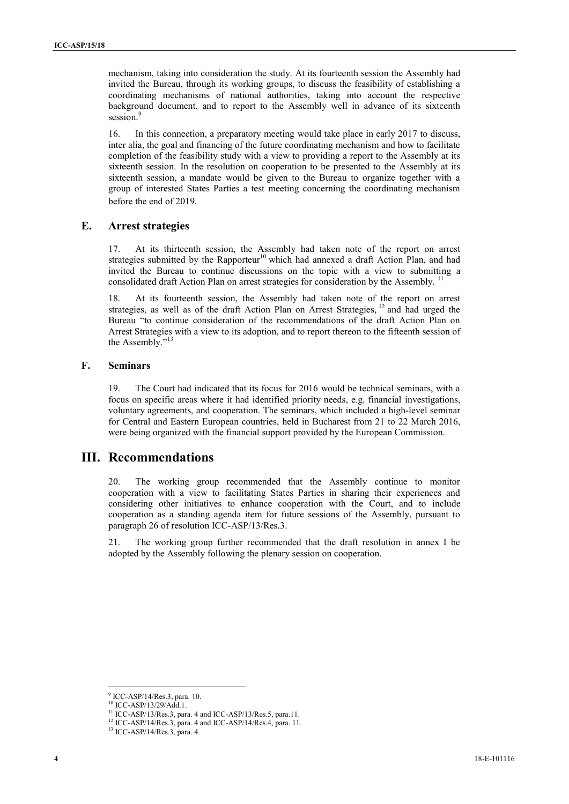mechanism, taking into consideration the study. At its fourteenth session the Assembly had invited the Bureau, through its working groups, to discuss the feasibility of establishing a coordinating mechanisms of national authorities, taking into account the respective background document, and to report to the Assembly well in advance of its sixteenth session.<sup>9</sup>

16. In this connection, a preparatory meeting would take place in early 2017 to discuss, inter alia, the goal and financing of the future coordinating mechanism and how to facilitate completion of the feasibility study with a view to providing a report to the Assembly at its sixteenth session. In the resolution on cooperation to be presented to the Assembly at its sixteenth session, a mandate would be given to the Bureau to organize together with a group of interested States Parties a test meeting concerning the coordinating mechanism before the end of 2019*.*

### **E. Arrest strategies**

17. At its thirteenth session, the Assembly had taken note of the report on arrest strategies submitted by the Rapporteur<sup>10</sup> which had annexed a draft Action Plan, and had invited the Bureau to continue discussions on the topic with a view to submitting a consolidated draft Action Plan on arrest strategies for consideration by the Assembly.<sup>11</sup>

18. At its fourteenth session, the Assembly had taken note of the report on arrest strategies, as well as of the draft Action Plan on Arrest Strategies, <sup>12</sup> and had urged the Bureau "to continue consideration of the recommendations of the draft Action Plan on Arrest Strategies with a view to its adoption, and to report thereon to the fifteenth session of the Assembly."<sup>13</sup>

#### **F. Seminars**

19. The Court had indicated that its focus for 2016 would be technical seminars, with a focus on specific areas where it had identified priority needs, e.g. financial investigations, voluntary agreements, and cooperation. The seminars, which included a high-level seminar for Central and Eastern European countries, held in Bucharest from 21 to 22 March 2016, were being organized with the financial support provided by the European Commission.

## **III. Recommendations**

20. The working group recommended that the Assembly continue to monitor cooperation with a view to facilitating States Parties in sharing their experiences and considering other initiatives to enhance cooperation with the Court, and to include cooperation as a standing agenda item for future sessions of the Assembly, pursuant to paragraph 26 of resolution ICC-ASP/13/Res.3.

21. The working group further recommended that the draft resolution in annex I be adopted by the Assembly following the plenary session on cooperation.

<sup>&</sup>lt;sup>9</sup> ICC-ASP/14/Res.3, para. 10.<br><sup>10</sup> ICC-ASP/13/29/Add.1.

<sup>&</sup>lt;sup>11</sup> ICC-ASP/13/Res.3, para. 4 and ICC-ASP/13/Res.5, para.11.

<sup>&</sup>lt;sup>12</sup> ICC-ASP/14/Res.3, para. 4 and ICC-ASP/14/Res.4, para. 11.<br><sup>13</sup> ICC-ASP/14/Res.3, para. 4.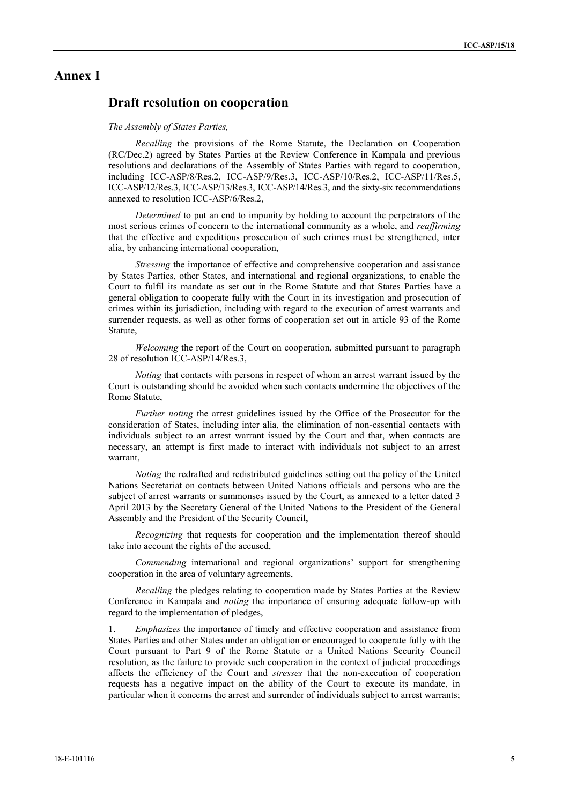## **Annex I**

## **Draft resolution on cooperation**

#### *The Assembly of States Parties,*

*Recalling* the provisions of the Rome Statute, the Declaration on Cooperation (RC/Dec.2) agreed by States Parties at the Review Conference in Kampala and previous resolutions and declarations of the Assembly of States Parties with regard to cooperation, including ICC-ASP/8/Res.2, ICC-ASP/9/Res.3, ICC-ASP/10/Res.2, ICC-ASP/11/Res.5, ICC-ASP/12/Res.3, ICC-ASP/13/Res.3, ICC-ASP/14/Res.3, and the sixty-six recommendations annexed to resolution ICC-ASP/6/Res.2,

*Determined* to put an end to impunity by holding to account the perpetrators of the most serious crimes of concern to the international community as a whole, and *reaffirming* that the effective and expeditious prosecution of such crimes must be strengthened, inter alia, by enhancing international cooperation,

*Stressing* the importance of effective and comprehensive cooperation and assistance by States Parties, other States, and international and regional organizations, to enable the Court to fulfil its mandate as set out in the Rome Statute and that States Parties have a general obligation to cooperate fully with the Court in its investigation and prosecution of crimes within its jurisdiction, including with regard to the execution of arrest warrants and surrender requests, as well as other forms of cooperation set out in article 93 of the Rome Statute,

*Welcoming* the report of the Court on cooperation, submitted pursuant to paragraph 28 of resolution ICC-ASP/14/Res.3,

*Noting* that contacts with persons in respect of whom an arrest warrant issued by the Court is outstanding should be avoided when such contacts undermine the objectives of the Rome Statute,

*Further noting* the arrest guidelines issued by the Office of the Prosecutor for the consideration of States, including inter alia, the elimination of non-essential contacts with individuals subject to an arrest warrant issued by the Court and that, when contacts are necessary, an attempt is first made to interact with individuals not subject to an arrest warrant,

*Noting* the redrafted and redistributed guidelines setting out the policy of the United Nations Secretariat on contacts between United Nations officials and persons who are the subject of arrest warrants or summonses issued by the Court, as annexed to a letter dated 3 April 2013 by the Secretary General of the United Nations to the President of the General Assembly and the President of the Security Council,

*Recognizing* that requests for cooperation and the implementation thereof should take into account the rights of the accused,

*Commending* international and regional organizations' support for strengthening cooperation in the area of voluntary agreements,

*Recalling* the pledges relating to cooperation made by States Parties at the Review Conference in Kampala and *noting* the importance of ensuring adequate follow-up with regard to the implementation of pledges,

1. *Emphasizes* the importance of timely and effective cooperation and assistance from States Parties and other States under an obligation or encouraged to cooperate fully with the Court pursuant to Part 9 of the Rome Statute or a United Nations Security Council resolution, as the failure to provide such cooperation in the context of judicial proceedings affects the efficiency of the Court and *stresses* that the non-execution of cooperation requests has a negative impact on the ability of the Court to execute its mandate, in particular when it concerns the arrest and surrender of individuals subject to arrest warrants;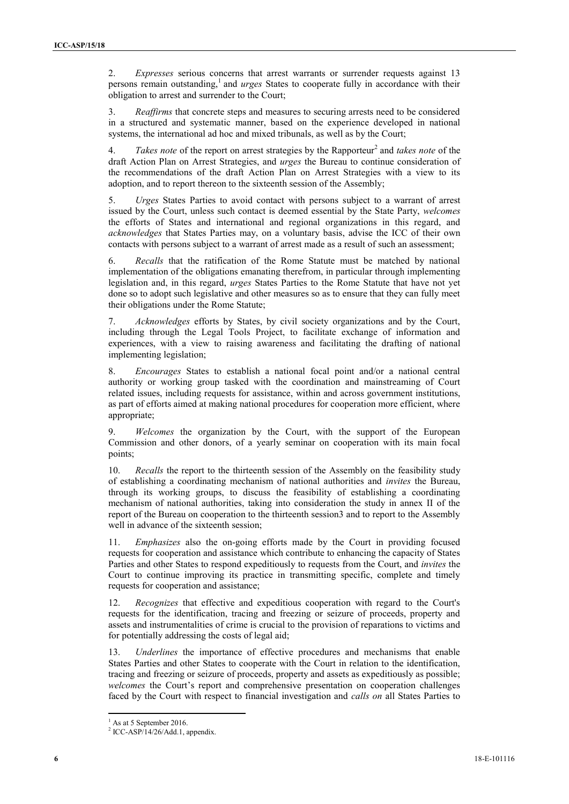2. *Expresses* serious concerns that arrest warrants or surrender requests against 13 persons remain outstanding,<sup>1</sup> and *urges* States to cooperate fully in accordance with their obligation to arrest and surrender to the Court;

3. *Reaffirms* that concrete steps and measures to securing arrests need to be considered in a structured and systematic manner, based on the experience developed in national systems, the international ad hoc and mixed tribunals, as well as by the Court;

4. *Takes note* of the report on arrest strategies by the Rapporteur<sup>2</sup> and *takes note* of the draft Action Plan on Arrest Strategies, and *urges* the Bureau to continue consideration of the recommendations of the draft Action Plan on Arrest Strategies with a view to its adoption, and to report thereon to the sixteenth session of the Assembly;

5. *Urges* States Parties to avoid contact with persons subject to a warrant of arrest issued by the Court, unless such contact is deemed essential by the State Party, *welcomes* the efforts of States and international and regional organizations in this regard, and *acknowledges* that States Parties may, on a voluntary basis, advise the ICC of their own contacts with persons subject to a warrant of arrest made as a result of such an assessment;

6. *Recalls* that the ratification of the Rome Statute must be matched by national implementation of the obligations emanating therefrom, in particular through implementing legislation and, in this regard, *urges* States Parties to the Rome Statute that have not yet done so to adopt such legislative and other measures so as to ensure that they can fully meet their obligations under the Rome Statute;

7. *Acknowledges* efforts by States, by civil society organizations and by the Court, including through the Legal Tools Project, to facilitate exchange of information and experiences, with a view to raising awareness and facilitating the drafting of national implementing legislation;

8. *Encourages* States to establish a national focal point and/or a national central authority or working group tasked with the coordination and mainstreaming of Court related issues, including requests for assistance, within and across government institutions, as part of efforts aimed at making national procedures for cooperation more efficient, where appropriate;

9. *Welcomes* the organization by the Court, with the support of the European Commission and other donors, of a yearly seminar on cooperation with its main focal points;

10. *Recalls* the report to the thirteenth session of the Assembly on the feasibility study of establishing a coordinating mechanism of national authorities and *invites* the Bureau, through its working groups, to discuss the feasibility of establishing a coordinating mechanism of national authorities, taking into consideration the study in annex II of the report of the Bureau on cooperation to the thirteenth session3 and to report to the Assembly well in advance of the sixteenth session;

11. *Emphasizes* also the on-going efforts made by the Court in providing focused requests for cooperation and assistance which contribute to enhancing the capacity of States Parties and other States to respond expeditiously to requests from the Court, and *invites* the Court to continue improving its practice in transmitting specific, complete and timely requests for cooperation and assistance;

12. *Recognizes* that effective and expeditious cooperation with regard to the Court's requests for the identification, tracing and freezing or seizure of proceeds, property and assets and instrumentalities of crime is crucial to the provision of reparations to victims and for potentially addressing the costs of legal aid;

13. *Underlines* the importance of effective procedures and mechanisms that enable States Parties and other States to cooperate with the Court in relation to the identification, tracing and freezing or seizure of proceeds, property and assets as expeditiously as possible; *welcomes* the Court's report and comprehensive presentation on cooperation challenges faced by the Court with respect to financial investigation and *calls on* all States Parties to

<sup>&</sup>lt;sup>1</sup> As at 5 September 2016.<br><sup>2</sup> ICC-ASP/14/26/Add.1, appendix.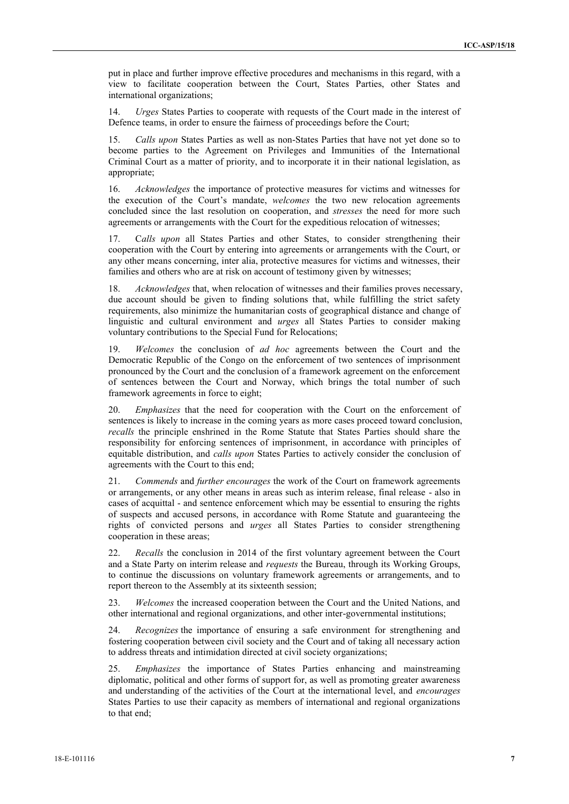put in place and further improve effective procedures and mechanisms in this regard, with a view to facilitate cooperation between the Court, States Parties, other States and international organizations;

14. *Urges* States Parties to cooperate with requests of the Court made in the interest of Defence teams, in order to ensure the fairness of proceedings before the Court;

15. *Calls upon* States Parties as well as non-States Parties that have not yet done so to become parties to the Agreement on Privileges and Immunities of the International Criminal Court as a matter of priority, and to incorporate it in their national legislation, as appropriate;

16. *Acknowledges* the importance of protective measures for victims and witnesses for the execution of the Court's mandate, *welcomes* the two new relocation agreements concluded since the last resolution on cooperation, and *stresses* the need for more such agreements or arrangements with the Court for the expeditious relocation of witnesses;

17. C*alls upon* all States Parties and other States, to consider strengthening their cooperation with the Court by entering into agreements or arrangements with the Court, or any other means concerning, inter alia, protective measures for victims and witnesses, their families and others who are at risk on account of testimony given by witnesses;

18. *Acknowledges* that, when relocation of witnesses and their families proves necessary, due account should be given to finding solutions that, while fulfilling the strict safety requirements, also minimize the humanitarian costs of geographical distance and change of linguistic and cultural environment and *urges* all States Parties to consider making voluntary contributions to the Special Fund for Relocations;

19. *Welcomes* the conclusion of *ad hoc* agreements between the Court and the Democratic Republic of the Congo on the enforcement of two sentences of imprisonment pronounced by the Court and the conclusion of a framework agreement on the enforcement of sentences between the Court and Norway, which brings the total number of such framework agreements in force to eight;

20. *Emphasizes* that the need for cooperation with the Court on the enforcement of sentences is likely to increase in the coming years as more cases proceed toward conclusion, *recalls* the principle enshrined in the Rome Statute that States Parties should share the responsibility for enforcing sentences of imprisonment, in accordance with principles of equitable distribution, and *calls upon* States Parties to actively consider the conclusion of agreements with the Court to this end;

21. *Commends* and *further encourages* the work of the Court on framework agreements or arrangements, or any other means in areas such as interim release, final release - also in cases of acquittal - and sentence enforcement which may be essential to ensuring the rights of suspects and accused persons, in accordance with Rome Statute and guaranteeing the rights of convicted persons and *urges* all States Parties to consider strengthening cooperation in these areas;

22. *Recalls* the conclusion in 2014 of the first voluntary agreement between the Court and a State Party on interim release and *requests* the Bureau, through its Working Groups, to continue the discussions on voluntary framework agreements or arrangements, and to report thereon to the Assembly at its sixteenth session;

23. *Welcomes* the increased cooperation between the Court and the United Nations, and other international and regional organizations, and other inter-governmental institutions;

24. *Recognizes* the importance of ensuring a safe environment for strengthening and fostering cooperation between civil society and the Court and of taking all necessary action to address threats and intimidation directed at civil society organizations;

25. *Emphasizes* the importance of States Parties enhancing and mainstreaming diplomatic, political and other forms of support for, as well as promoting greater awareness and understanding of the activities of the Court at the international level, and *encourages* States Parties to use their capacity as members of international and regional organizations to that end;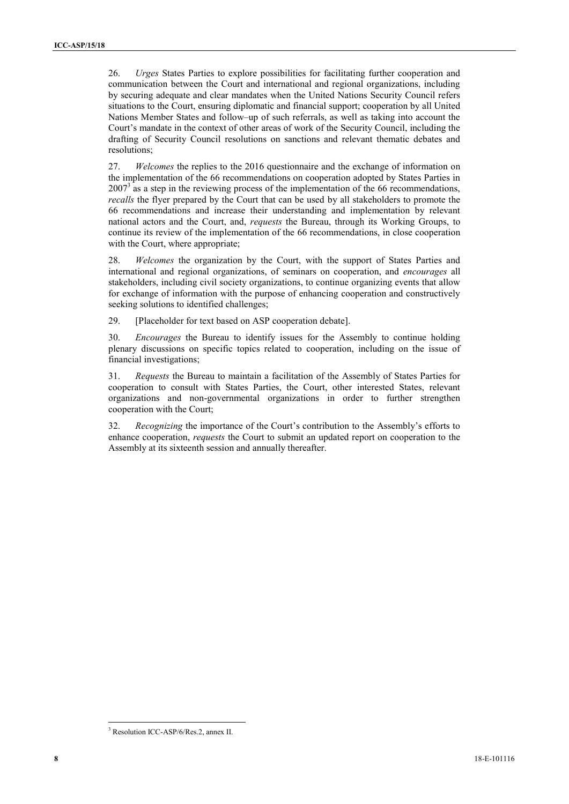26. *Urges* States Parties to explore possibilities for facilitating further cooperation and communication between the Court and international and regional organizations, including by securing adequate and clear mandates when the United Nations Security Council refers situations to the Court, ensuring diplomatic and financial support; cooperation by all United Nations Member States and follow–up of such referrals, as well as taking into account the Court's mandate in the context of other areas of work of the Security Council, including the drafting of Security Council resolutions on sanctions and relevant thematic debates and resolutions;

27. *Welcomes* the replies to the 2016 questionnaire and the exchange of information on the implementation of the 66 recommendations on cooperation adopted by States Parties in  $2007<sup>3</sup>$  as a step in the reviewing process of the implementation of the 66 recommendations, *recalls* the flyer prepared by the Court that can be used by all stakeholders to promote the 66 recommendations and increase their understanding and implementation by relevant national actors and the Court, and, *requests* the Bureau, through its Working Groups, to continue its review of the implementation of the 66 recommendations, in close cooperation with the Court, where appropriate;

28. *Welcomes* the organization by the Court, with the support of States Parties and international and regional organizations, of seminars on cooperation, and *encourages* all stakeholders, including civil society organizations, to continue organizing events that allow for exchange of information with the purpose of enhancing cooperation and constructively seeking solutions to identified challenges;

29. [Placeholder for text based on ASP cooperation debate].

30. *Encourages* the Bureau to identify issues for the Assembly to continue holding plenary discussions on specific topics related to cooperation, including on the issue of financial investigations;

31. *Requests* the Bureau to maintain a facilitation of the Assembly of States Parties for cooperation to consult with States Parties, the Court, other interested States, relevant organizations and non-governmental organizations in order to further strengthen cooperation with the Court;

32. *Recognizing* the importance of the Court's contribution to the Assembly's efforts to enhance cooperation, *requests* the Court to submit an updated report on cooperation to the Assembly at its sixteenth session and annually thereafter.

<sup>3</sup> Resolution ICC-ASP/6/Res.2, annex II.